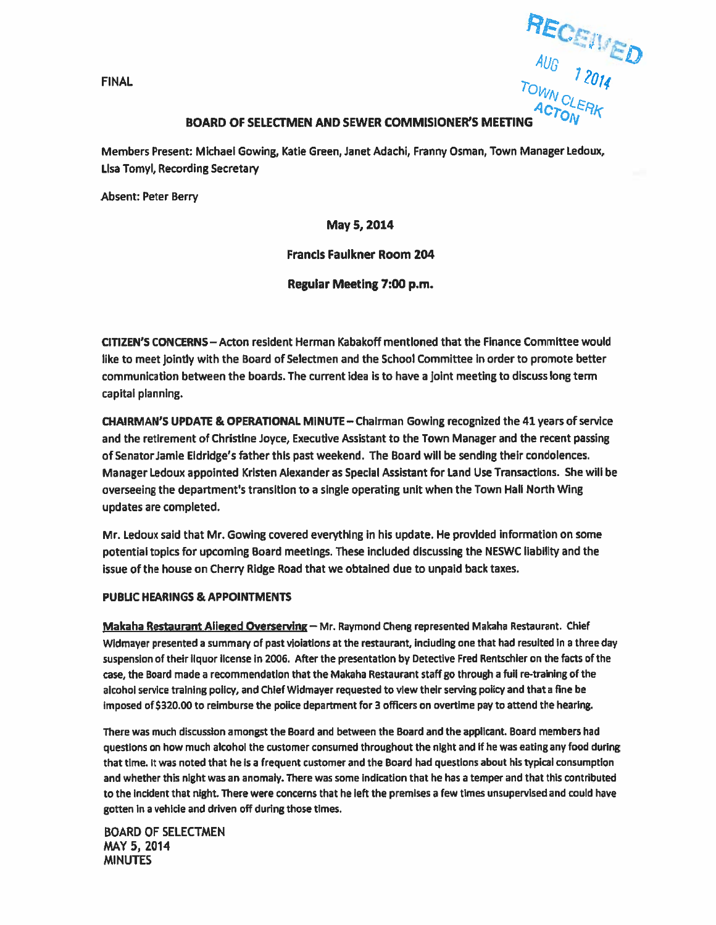FINAL -

AUG

# BOARD OF SELECTMEN AND SEWER COMMISIONER'S MEETING

Members Present: Michael Gowing, Katie Green, Janet Adachi, Franny Osman, Town Manager Ledoux, Lisa Tomyl, Recording Secretary

Absent: Peter Berry

May 5,2014

Francis Faulkner Room 204

Regular Meeting 7:00 p.m.

OTIZEN'S CONCERNS — Acton resident Herman Kabakoff mentioned that the Finance Committee would like to meet jointly with the Board of Selectmen and the School Committee in order to promote better communication between the boards. The current idea is to have <sup>a</sup> joint meeting to discuss long term capital planning.

CHAIRMAN'S UPDATE & OPERATIONAL MINUTE— Chairman Gowing recognized the 41 years of service and the retirement of Christine Joyce, Executive Assistant to the Town Manager and the recent passing of Senator Jamie Eldridge's father this pas<sup>t</sup> weekend. The Board will be sending their condolences. Manager Ledoux appointed Kristen Alexander as Special Assistant for Land Use Transactions. She will be overseeing the department's transition to <sup>a</sup> single operating unit when the Town Hall North Wing updates are completed.

Mr. Ledoux said that Mr. Gowing covered everything in his update. He provided information on some potential topics for upcoming Board meetings. These included discussing the NESWC liability and the issue of the house on Cherry Ridge Road that we obtained due to unpaid back taxes.

### PUBUC HEARINGS & APPOINTMENTS

Makaha Restaurant Alleged Overserving — Mr. Raymond Cheng represented Makaha Restaurant. Chief Widmayer presented a summary of past violations at the restaurant, including one that had resulted in a three day suspension of their liquor license in 2006. After the presentation by Detective Fred Rentschler on the facts of the case, the Board made <sup>a</sup> recommendation that the Makaha Restaurant staff go through <sup>a</sup> full re-training of the alcohol service training policy, and Chief Widmayer requested to view their serving policy and that <sup>a</sup> fine be imposed of \$320.00 to reimburse the police department for 3 officers on overtime pay to attend the hearing.

There was much discussion amongs<sup>t</sup> the Board and between the Board and the applicant. Board members had questions on how much alcohol the customer consumed throughout the night and if he was eating any food during that time. it was noted that he is <sup>a</sup> frequent customer and the Board had questions about his typical consumption and whether this night was an anomaly. There was some indication that he has <sup>a</sup> temper and that this contributed to the incident that night. There were concerns that he left the premises <sup>a</sup> few times unsupervised and could have gotten in <sup>a</sup> vehicle and driven off during those times.

BOARD OF SELECTMEN MAY 5, 2014 MINUTES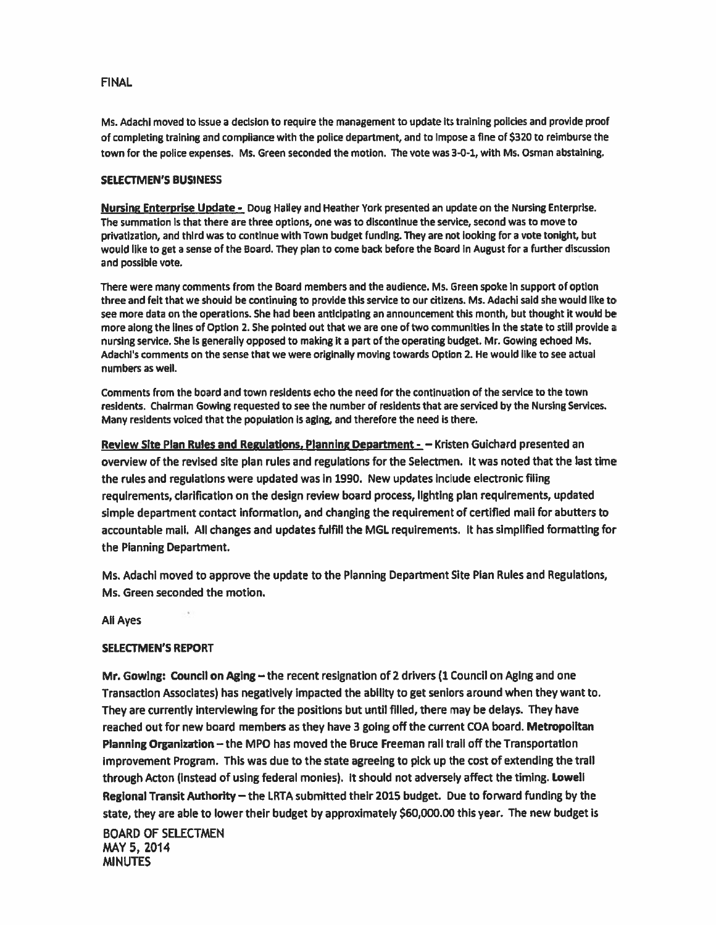Ms. Adachi moved to issue <sup>a</sup> decision to require the managemen<sup>t</sup> to update its training policies and provide proof of completing training and compliance with the police department, and to Impose <sup>a</sup> fine of \$320 to reimburse the town for the police expenses. Ms. Green seconded the motion. The vote was 3-0-1, with Ms. Osman abstaining.

### SELECTMEN'S BUSINESS

Nursing Enterprise Update - Doug Halley and Heather York presented an update on the Nursing Enterprise. The summation Is that there are three options, one was to discontinue the service, second was to move to privatization, and third was to continue with Town budget funding. They are not looking for <sup>a</sup> vote tonight, but would like to ge<sup>t</sup> <sup>a</sup> sense of the Board. They <sup>p</sup>lan to come back before the Board in August for <sup>a</sup> further discussion and possible vote.

There were many comments from the Board members and the audience. Ms. Green spoke In suppor<sup>t</sup> of option three and felt that we should be continuing to provide this service to our citizens. Ms. Adachi said she would like to see more data on the operations. She had been anticipating an announcement this month, but thought it would be more along the lines of Option 2. She pointed out that we are one of two communities in the state to still provide <sup>a</sup> nursing service. She is generally opposed to making it <sup>a</sup> par<sup>t</sup> of the operating budget. Mr. Gowing echoed Ms. Adachi's comments on the sense that we were originally moving towards Option 2. He would like to see actual numbers as well.

Comments from the board and town residents echo the need for the continuation of the service to the town residents. Chairman Gowing requested to see the number of residents that are serviced by the Nursing Services. Many residents voiced that the population is aging, and therefore the need is there.

Review Site Plan Rules and Regulations, Planning Department - - Kristen Guichard presented an overview of the revised site plan rules and regulations for the Selectmen. It was noted that the last time the rules and regulations were updated was in 1990. New updates include electronic filing requirements, clarification on the design review board process, lighting <sup>p</sup>lan requirements, updated simple department contact information, and changing the requirement of certified mail for abutters to accountable mail. All changes and updates fulfill the MGL requirements. It has simplified formatting for the Planning Department.

Ms. Machi moved to approve the update to the Planning Department Site Plan Rules and Regulations, Ms. Green seconded the motion.

All Ayes

### SELECTMEN'S REPORT

Mr. Gowing: Council on Aging – the recent resignation of 2 drivers (1 Council on Aging and one Transaction Associates) has negatively impacted the ability to ge<sup>t</sup> seniors around when they want to. They are currently interviewing for the positions but until filled, there may be delays. They have reached out for new board members as they have 3 going off the current COA board. Metropolitan Planning Organization — the MPG has moved the Bruce Freeman rail trail off the Transportation Improvement Program. This was due to the state agreeing to pick up the cost of extending the trail through Acton (Instead of using federal monies). It should not adversely affect the timing. Lowell Regional Transit Authority — the LRTA submitted their 2015 budget. Due to forward funding by the state, they are able to lower their budget by approximately \$60,000.00 this year. The new budget Is BOARD OF SELECTMEN

MAY 5, 2014 **MINUTES**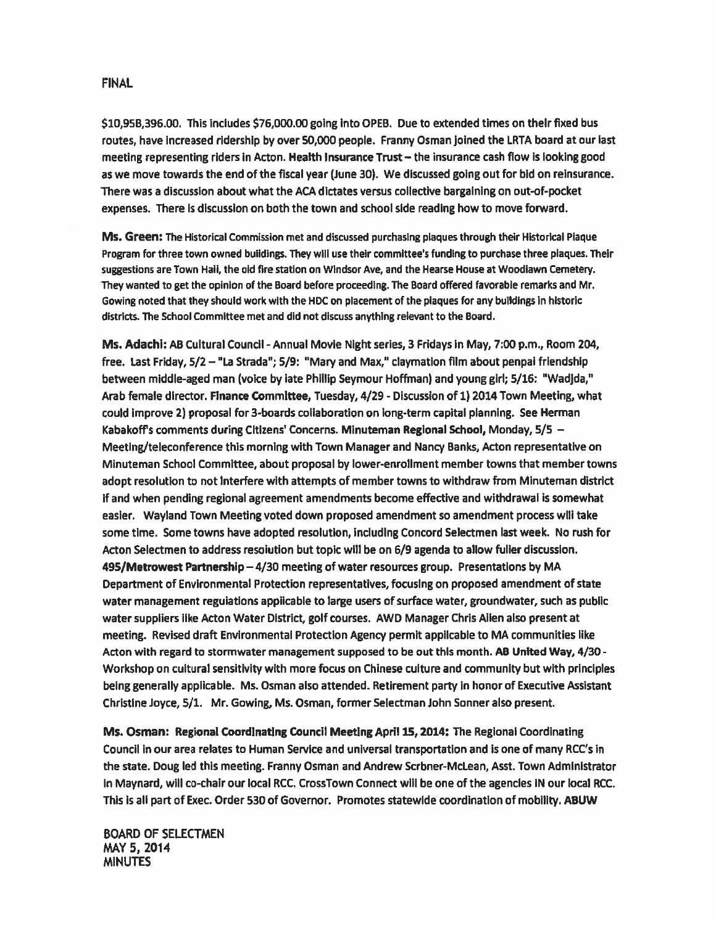\$10,958,396.00. This includes \$76,000.00 going into OPEB. Due to extended times on their fixed bus routes, have increased ridership by over 50,000 people. Franny Osman joined the LRTA board at our last meeting representing riders in Acton. Health Insurance Trust — the insurance cash flow is looking good as we move towards the end of the fiscal year (June 30). We discussed going out for bid on reinsurance. There was <sup>a</sup> discussion about what the ACA dictates versus collective bargaining on out-of-pocket expenses. There is discussion on both the town and school side reading how to move forward.

Ms. Green: The Historical commission met and discussed purchasing plaques through their Historical Plaque Program for three town owned buildings. They will use their committee's funding to purchase three plaques. Their suggestions are Town Hall, the old fire station on Windsor Aye, and the Hearse House at Woodlawn Cemetery. They wanted to ge<sup>t</sup> the opinion of the Board before proceeding. The Board offered favorable remarks and Mr. Cowing noted that they should work with the HDC on placement of the plaques for any buildings In historic districts. The School committee met and did not discuss anything relevant to the Board.

Ms. Adachi: AB Cultural Council - Annual Movie Night series, <sup>3</sup> Fridays in May, 7:00 p.m., Room 204, free. Last Friday, 5/2 — "La Strada"; 5/9: "Mary and Max," claymation film about penpal friendship between middle-aged man (voice by late Phillip Seymour Hoffman) and young girl; 5/16: "Wadjda," Arab female director. Finance CommIttee, Tuesday, 4/29 - Discussion of 1) 2014 Town Meeting, what could improve 2) proposal for 3-boards collaboration on long-term capital planning. See Herman Kabakoffs comments during Citizens' Concerns. Minuteman Regional School, Monday, 5/5 — Meeting/teleconference this morning with Town Manager and Nancy Banks, Acton representative on Minuteman School Committee, about proposal by lower-enrollment member towns that member towns adopt resolution to not interfere with attempts of member towns to withdraw from Minuteman district if and when pending regional agreement amendments become effective and withdrawal is somewhat easier. Wayland Town Meeting voted down proposed amendment so amendment process will take some time. Some towns have adopted resolution, including Concord Selectmen last week. No rush for Acton Selectmen to address resolution but topic will be on 6/9 agenda to allow fuller discussion. 495/Metrowest Partnership — 4/30 meeting of water resources group. Presentations by MA Department of Environmental Protection representatives, focusing on proposed amendment of state water managemen<sup>t</sup> regulations applicable to large users of surface water, groundwater, such as public water suppliers like Acton Water District, golf courses. AWD Manager Chris Allen also presen<sup>t</sup> at meeting. Revised draft Environmental Protection Agency permit applicable to MA communities like Acton with regard to stormwater managemen<sup>t</sup> supposed to be out this month. AB United Way, 4/30 - Workshop on cultural sensitivity with more focus on Chinese culture and community but with principles being generally applicable. Ms. Osman also attended. Retirement party in honor of Executive Assistant Christine Joyce, 5/1. Mr. Cowing, Ms. Osman, former Selectman John Sonner also present.

Ms. Osman: Regional CoordinatIng Council Meeting April 15, 2014: The Regionai Coordinating Council in our area relates to Human Service and universal transportation and is one of many RCC's In the state. Doug led this meeting. Franny Osman and Andrew Scrbner-McLean, Asst. Town Administrator In Maynard, will co-chair our local RCC. CrossTown Connect will be one of the agencies IN our local RCC. This is all par<sup>t</sup> of Exec. Order 530 of Governor. Promotes statewide coordination of mobility. ABUW

BOARD OF SELECTMEN MAY 5, 2014 **MINUTES**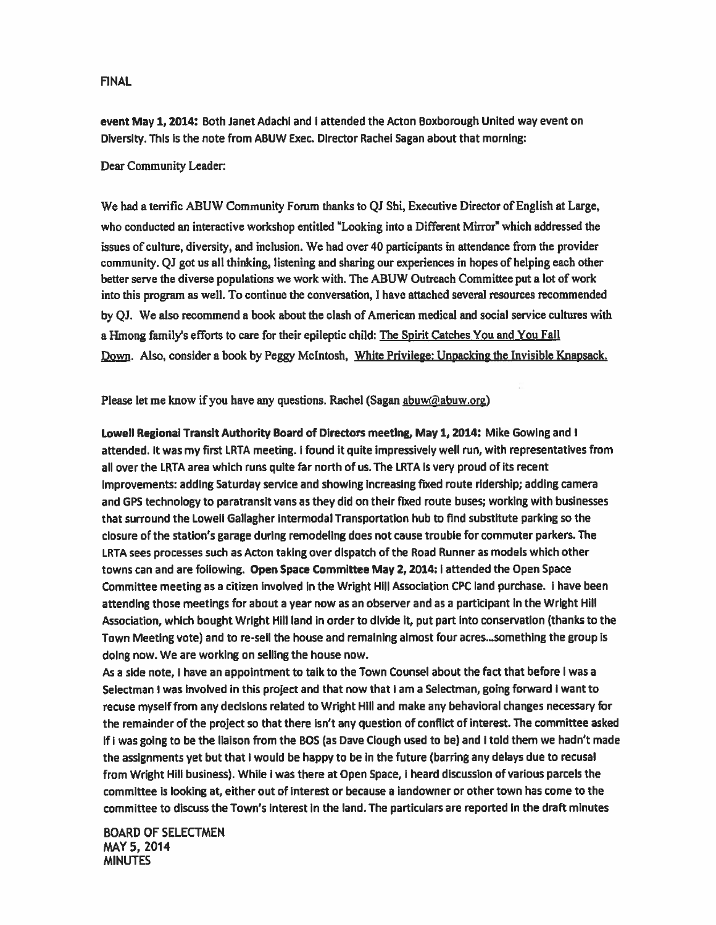event May 1, 2014: Both Janet Adachi and I attended the Acton Boxborough United way event on Diversity. This is the note from ABUW Exec. Director Rachel Sagan about that morning:

#### Dear Community Leader:

We had <sup>a</sup> terrific ABUW Community Forum thanks to QJ Shi, Executive Director of English at Large, who conducted an interactive workshop entitled "Looking into <sup>a</sup> Different Mirror" which addressed the issues of culture, diversity, and inclusion. We had over 40 participants in attendance from the provider community. Qi go<sup>t</sup> us all thinking, listening and sharing our experiences in hopes of helping each other better serve the diverse populations we work with. The ABUW Outreach Committee pu<sup>t</sup> <sup>a</sup> lot of work into this program as we]). To continue the conversation, <sup>I</sup> have attached several resources recommended by QJ. We also recommend <sup>a</sup> book about the clash of American medical and social service cultures with a Hmong family's efforts to care for their epileptic child: The Spirit Catches You and You Fail Down. Also, consider a book by Peggy McIntosh, White Privilege: Unpacking the Invisible Knapsack.

Please let me know if you have any questions. Rachel (Sagan abuw@abuw.org)

Lowell Regional Transit Authority Board of Directors meeting, May 1, 2014: Mike Gowing and <sup>I</sup> attended. It was my first LRTA meeting. I found it quite impressively well run, with representatives from all over the LRTA area which runs quite far north of us. The LRTA is very proud of its recent improvements; adding Saturday service and showing increasing fixed route ridership; adding camera and GPS technology to paratransit vans as they did on their fixed route buses; working with businesses that surround the Lowell Gallagher intermodal Transportation hub to find substitute parking so the closure of the station's garage during remodeling does not cause trouble for commuter parkers. The LRTA sees processes such as Acton taking over dispatch of the Road Runner as models which other towns can and are following. Open Space Committee May 2, 2014: I attended the Open Space Committee meeting as <sup>a</sup> citizen involved in the Wright Hill Association CPC land purchase. <sup>I</sup> have been attending those meetings for about <sup>a</sup> year now as an observer and as <sup>a</sup> participant in the Wright Hill Association, which bought Wright Hill land in order to divide it, pu<sup>t</sup> par<sup>t</sup> into conservation (thanks to the Town Meeting vote) and to re-sell the house and remaining almost four acres,..something the group is doing now. We are working on selling the house now.

As <sup>a</sup> side note, <sup>I</sup> have an appointment to talk to the Town Counsel about the fact that before <sup>I</sup> was <sup>a</sup> Selectman I was involved in this project and that now that I am a Selectman, going forward I want to recuse myself from any decisions related to Wright Hill and make any behavioral changes necessary for the remainder of the project so that there isn't any question of conflict of interest. The committee asked if <sup>I</sup> was going to be the liaison from the 805 (as Dave dough used to be) and <sup>I</sup> told them we hadn't made the assignments ye<sup>t</sup> but that <sup>I</sup> would be happy to be in the future (barring any delays due to recusal from Wright Hill business). While <sup>I</sup> was there at Open Space, <sup>I</sup> heard discussion of various parcels the committee is looking at, either out of interest or because a landowner or other town has come to the committee to discuss the Town's interest in the land, The particulars are reported in the draft minutes

BOARD OF SELECTMEN MAY 5, 2014 MINUTES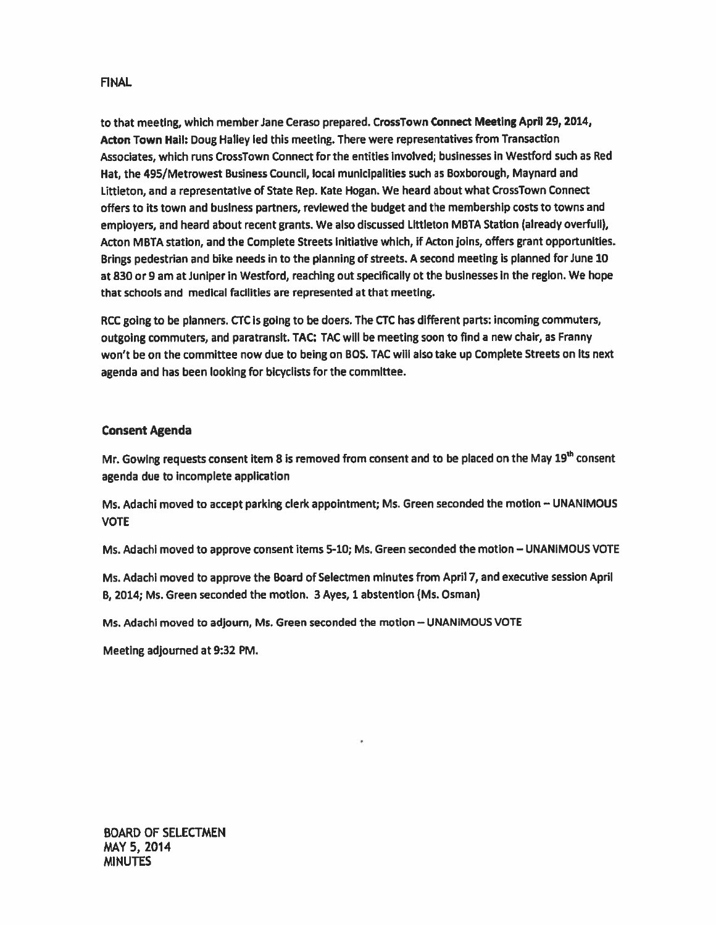to that meeting, which member Jane Ceraso prepared. CrossTown Connect Meeting April 29, 2014, Acton Town Hall: Doug Halley led this meeting. There were representatives from Transaction Associates, which runs CrossTown Connect for the entities involved; businesses in Westford such as Red Hat, the 495/Metrowest Business Council, local municipalities such as Boxborough, Maynard and Uttleton, and <sup>a</sup> representative of State Rep. Kate Hogan. We heard about what CrossTown Connect offers to its town and business partners, reviewed the budget and the membership costs to towns and employers, and heard about recent grants. We also discussed Littleton MBTA Station (already overfull), Acton MBTA station, and the Complete Streets Initiative which, if Acton joins, offers gran<sup>t</sup> opportunities. Brings pedestrian and bike needs in to the planning of streets. A second meeting is planned for June 10 at 830 or 9 am at Juniper in Westford, reaching out specifically ot the businesses in the region. We hope that schools and medical facilities are represented at that meeting.

RCC going to be planners. CTC is going to be doers. The CTC has different parts: incoming commuters, outgoing commuters, and paratransit. TAC: TAC will be meeting soon to find <sup>a</sup> new chair, as Franny won't be on the committee now due to being on 805. TAC will also take up Complete Streets on its next agenda and has been looking for bicyclists for the committee.

# Consent Agenda

Mr. Gowing requests consent item 8 is removed from consent and to be placed on the May 19<sup>th</sup> consent agenda due to incomplete application

Ms. Adachi moved to accep<sup>t</sup> parking clerk appointment; Ms. Green seconded the motion — UNANIMOUS VOTE

Ms. Adachi moved to approve consent items 5-10; Ms. Green seconded the motion — UNANIMOUS VOTE

Ms. Adachi moved to approve the Board of Selectmen minutes from April 7, and executive session April 8, 2014; Ms. Green seconded the motion. 3 Ayes, 1 abstention (Ms. Osman)

Ms. Adachi moved to adjourn, Ms. Green seconded the motion — UNANIMOUS VOTE

Meeting adjourned at 9:32 PM.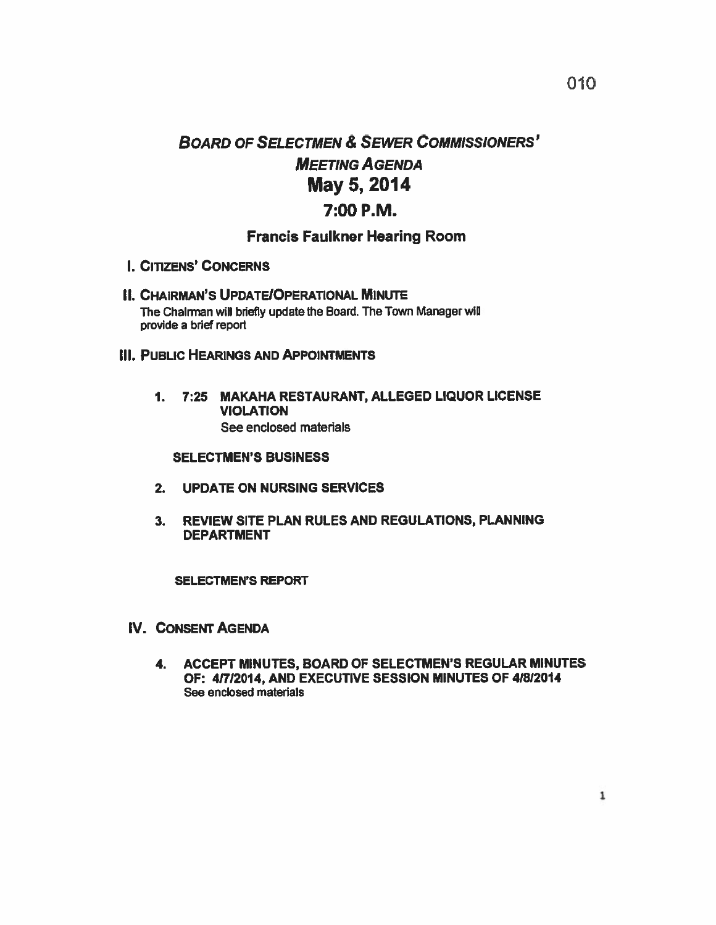# BOARD OF SELECTMEN & SEWER COMMISsIoNERS' MEETING AGENDA May 5, 2014 7:00 P.M.

# Francis Faulkner Hearing Room

- I. CITIZENS' CONCERNS
- **II. CHAIRMAN'S UPDATE/OPERATIONAL MINUTE** The Chairman will briefly update the Board. The Town Manager will provide <sup>a</sup> brief repor<sup>t</sup>

# III. PUBLIC HEARINGS AND APPOINTMENTS

1. 7:25 MAKAHA RESTAURANT, ALLEGED LIQUOR LICENSE VIOLATION See enclosed materials

### SELECTMEN'S BUSINESS

- 2. UPDATE ON NURSING SERVICES
- 3. REVIEW SITE PLAN RULES AND REGULATIONS, PLANNING DEPARTMENT

### SELECTMEN'S REPORT

- IV. CONSENT AGENDA
	- 4. ACCEPT MINUTES, BOARD OF SELECTMEN'S REGULAR MINUTES OF: 41712014, AND EXECUTIVE SESSION MINUTES OF 41812014 See enclosed materials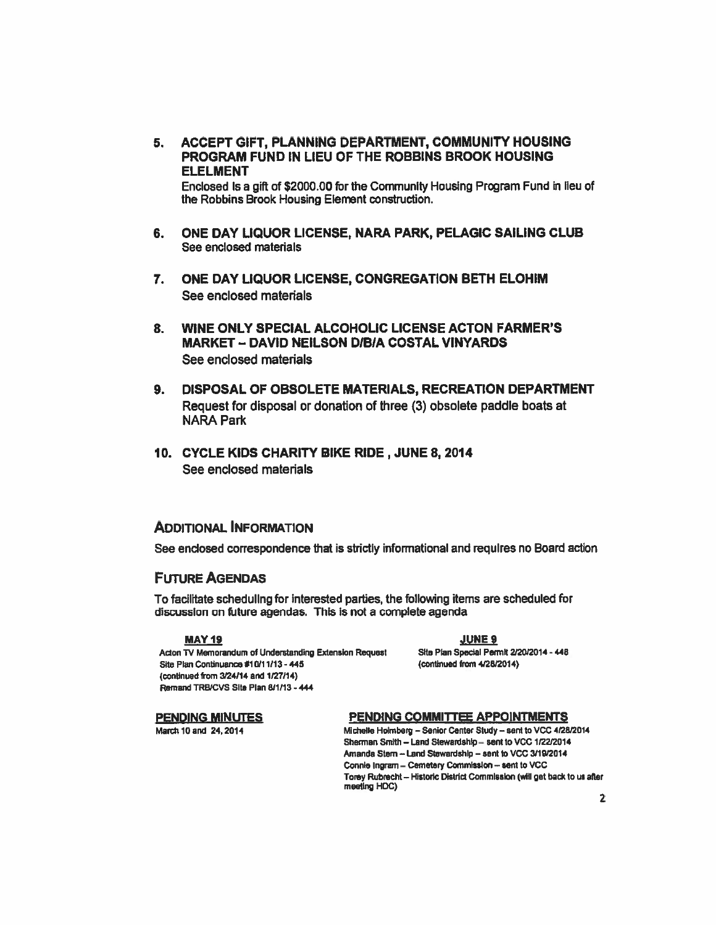5. ACCEPT GIFT, PLANNING DEPARTMENT, COMMUNITY HOUSING PROGRAM FUND IN LIEU OF THE ROBBINS BROOK HOUSING **ELELMENT** 

Enclosed Is a gift of \$2000.00 for the Community Housing Program Fund in lieu of the Robbins Brook Housing Element construction.

- 6. ONE DAY LIQUOR LICENSE, NARA PARK, PELAGIC SAILING CLUB See enclosed materials
- 7. ONE DAY LIQUOR LICENSE, CONGREGATION BETH ELOHIM See enclosed materials
- 8. WINE ONLY SPECIAL ALCOHOLIC LICENSE ACTON FARMER'S **MARKET - DAVID NEILSON D/B/A COSTAL VINYARDS** See enclosed materials
- 9. DISPOSAL OF OBSOLETE MATERIALS, RECREATION DEPARTMENT Request for disposal or donation of three (3) obsolete paddle boats at **NARA Park**
- 10. CYCLE KIDS CHARITY BIKE RIDE, JUNE 8, 2014 See enclosed materials

### **ADDITIONAL INFORMATION**

See enclosed correspondence that is strictly informational and requires no Board action

### **FIITURE AGENDAS**

To facilitate scheduling for interested parties, the following items are scheduled for discussion on future agendas. This is not a complete agenda

#### **MAY 19**

Acton TV Memorandum of Understanding Extension Request Site Plan Continuance #10/11/13 - 445 (continued from 3/24/14 and 1/27/14) Remand TRB/CVS Site Plan 8/1/13 - 444

**JUNE 9** Site Plan Special Permit 2/20/2014 - 448 (continued from 4/28/2014)

#### **PENDING MINUTES**

March 10 and 24, 2014

#### PENDING COMMITTEE APPOINTMENTS

Michelle Holmberg - Senior Center Study - sent to VCC 4/28/2014 Sherman Smith - Land Stewardship - sent to VCC 1/22/2014 Amanda Stern - Land Stewardship - sent to VCC 3/19/2014 Connie Ingram - Cemetery Commission - sent to VCC Torey Rubrecht - Historic District Commission (will get back to us after meeting HDC)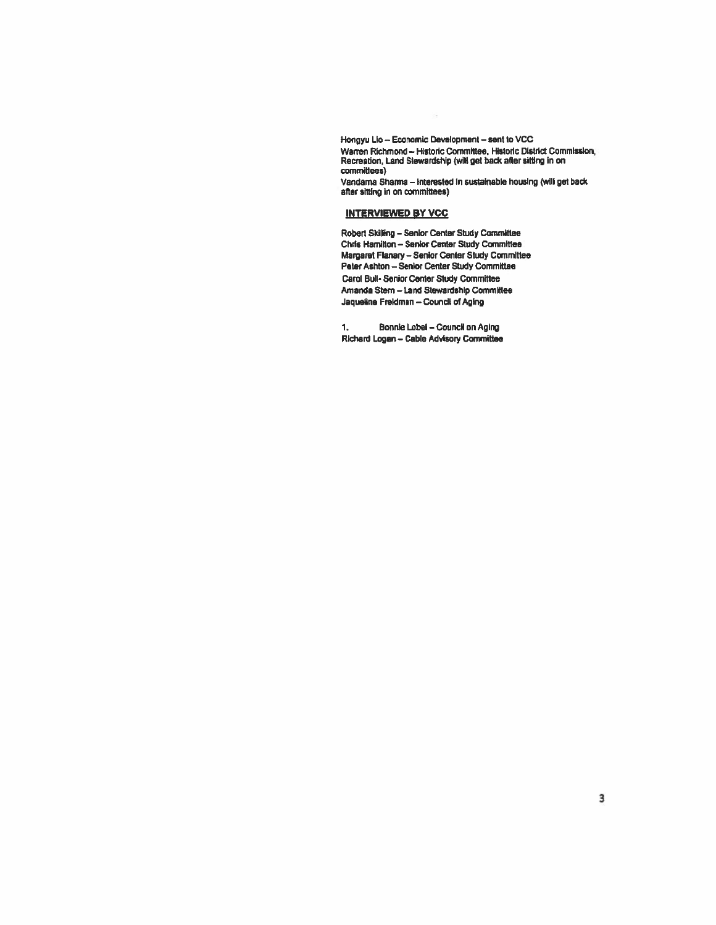Hongyu Lio -- Economic Development -- sent to VCC Warren Richmond - Historic Committee, Historic District Commission, Recreation, Land Stewardship (will get back after sitting in on committees)

Vandama Sharma - Interested in sustainable housing (will get back after sitting in on committees)

#### **INTERVIEWED BY VCC**

Robert Skilling - Senior Center Study Committee Chris Harnitton - Senior Center Study Committee Margaret Flanary - Senior Center Study Committee Peter Ashton - Senior Center Study Committee Carol Bull-Senior Center Study Committee Amanda Stern - Land Stewardship Committee Jaqueline Freldman - Council of Aging

**Bonnie Lobel - Council on Aging** 1. Richard Logan - Cable Advisory Committee